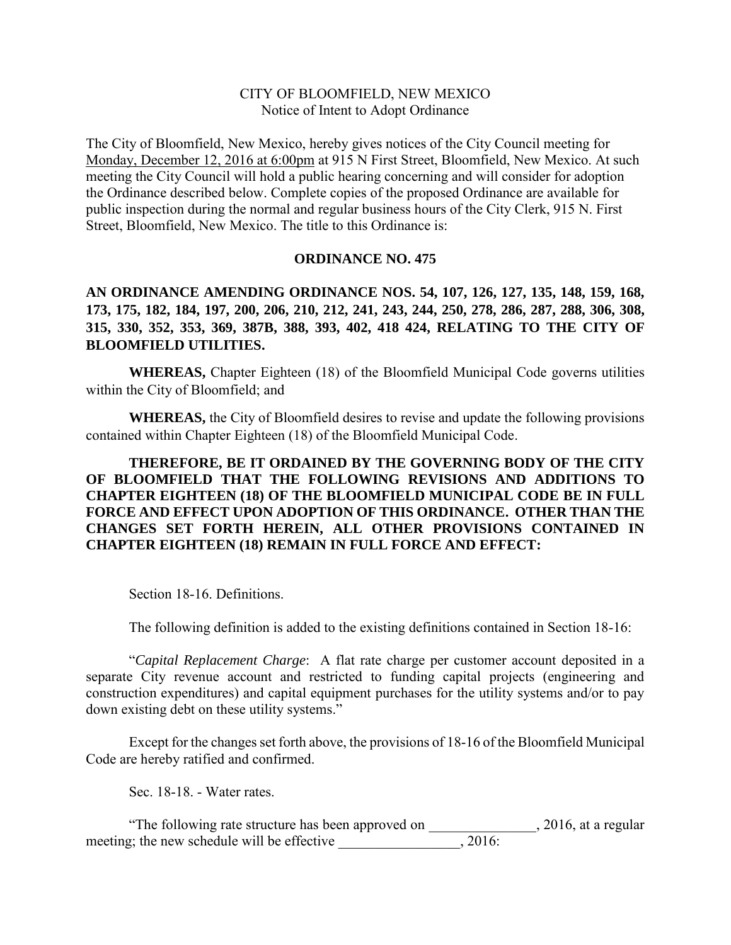## CITY OF BLOOMFIELD, NEW MEXICO Notice of Intent to Adopt Ordinance

The City of Bloomfield, New Mexico, hereby gives notices of the City Council meeting for Monday, December 12, 2016 at 6:00pm at 915 N First Street, Bloomfield, New Mexico. At such meeting the City Council will hold a public hearing concerning and will consider for adoption the Ordinance described below. Complete copies of the proposed Ordinance are available for public inspection during the normal and regular business hours of the City Clerk, 915 N. First Street, Bloomfield, New Mexico. The title to this Ordinance is:

## **ORDINANCE NO. 475**

**AN ORDINANCE AMENDING ORDINANCE NOS. 54, 107, 126, 127, 135, 148, 159, 168, 173, 175, 182, 184, 197, 200, 206, 210, 212, 241, 243, 244, 250, 278, 286, 287, 288, 306, 308, 315, 330, 352, 353, 369, 387B, 388, 393, 402, 418 424, RELATING TO THE CITY OF BLOOMFIELD UTILITIES.** 

**WHEREAS,** Chapter Eighteen (18) of the Bloomfield Municipal Code governs utilities within the City of Bloomfield; and

**WHEREAS,** the City of Bloomfield desires to revise and update the following provisions contained within Chapter Eighteen (18) of the Bloomfield Municipal Code.

**THEREFORE, BE IT ORDAINED BY THE GOVERNING BODY OF THE CITY OF BLOOMFIELD THAT THE FOLLOWING REVISIONS AND ADDITIONS TO CHAPTER EIGHTEEN (18) OF THE BLOOMFIELD MUNICIPAL CODE BE IN FULL FORCE AND EFFECT UPON ADOPTION OF THIS ORDINANCE. OTHER THAN THE CHANGES SET FORTH HEREIN, ALL OTHER PROVISIONS CONTAINED IN CHAPTER EIGHTEEN (18) REMAIN IN FULL FORCE AND EFFECT:**

Section 18-16. Definitions.

The following definition is added to the existing definitions contained in Section 18-16:

"*Capital Replacement Charge*: A flat rate charge per customer account deposited in a separate City revenue account and restricted to funding capital projects (engineering and construction expenditures) and capital equipment purchases for the utility systems and/or to pay down existing debt on these utility systems."

Except for the changes set forth above, the provisions of 18-16 of the Bloomfield Municipal Code are hereby ratified and confirmed.

Sec. 18-18. - Water rates.

"The following rate structure has been approved on \_\_\_\_\_\_\_\_\_\_\_\_\_\_\_, 2016, at a regular meeting; the new schedule will be effective \_\_\_\_\_\_\_\_\_\_\_\_\_\_\_, 2016: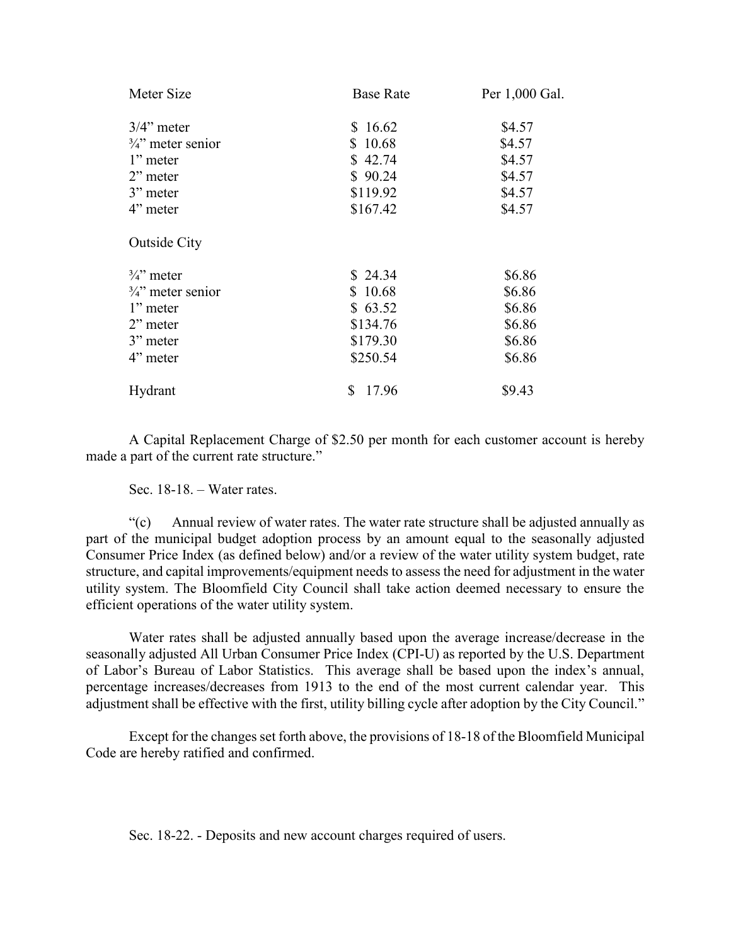| Meter Size                   | <b>Base Rate</b> | Per 1,000 Gal. |
|------------------------------|------------------|----------------|
| $3/4$ " meter                | \$16.62          | \$4.57         |
| $\frac{3}{4}$ " meter senior | \$10.68          | \$4.57         |
| 1" meter                     | \$42.74          | \$4.57         |
| $2$ " meter                  | \$90.24          | \$4.57         |
| 3" meter                     | \$119.92         | \$4.57         |
| 4" meter                     | \$167.42         | \$4.57         |
| <b>Outside City</b>          |                  |                |
| $\frac{3}{4}$ meter          | \$24.34          | \$6.86         |
| $\frac{3}{4}$ meter senior   | \$10.68          | \$6.86         |
| 1" meter                     | \$63.52          | \$6.86         |
| $2$ " meter                  | \$134.76         | \$6.86         |
| 3" meter                     | \$179.30         | \$6.86         |
| 4" meter                     | \$250.54         | \$6.86         |
| Hydrant                      | 17.96<br>S       | \$9.43         |

A Capital Replacement Charge of \$2.50 per month for each customer account is hereby made a part of the current rate structure."

Sec. 18-18. – Water rates.

"(c) Annual review of water rates. The water rate structure shall be adjusted annually as part of the municipal budget adoption process by an amount equal to the seasonally adjusted Consumer Price Index (as defined below) and/or a review of the water utility system budget, rate structure, and capital improvements/equipment needs to assess the need for adjustment in the water utility system. The Bloomfield City Council shall take action deemed necessary to ensure the efficient operations of the water utility system.

Water rates shall be adjusted annually based upon the average increase/decrease in the seasonally adjusted All Urban Consumer Price Index (CPI-U) as reported by the U.S. Department of Labor's Bureau of Labor Statistics. This average shall be based upon the index's annual, percentage increases/decreases from 1913 to the end of the most current calendar year. This adjustment shall be effective with the first, utility billing cycle after adoption by the City Council."

Except for the changes set forth above, the provisions of 18-18 of the Bloomfield Municipal Code are hereby ratified and confirmed.

Sec. 18-22. - Deposits and new account charges required of users.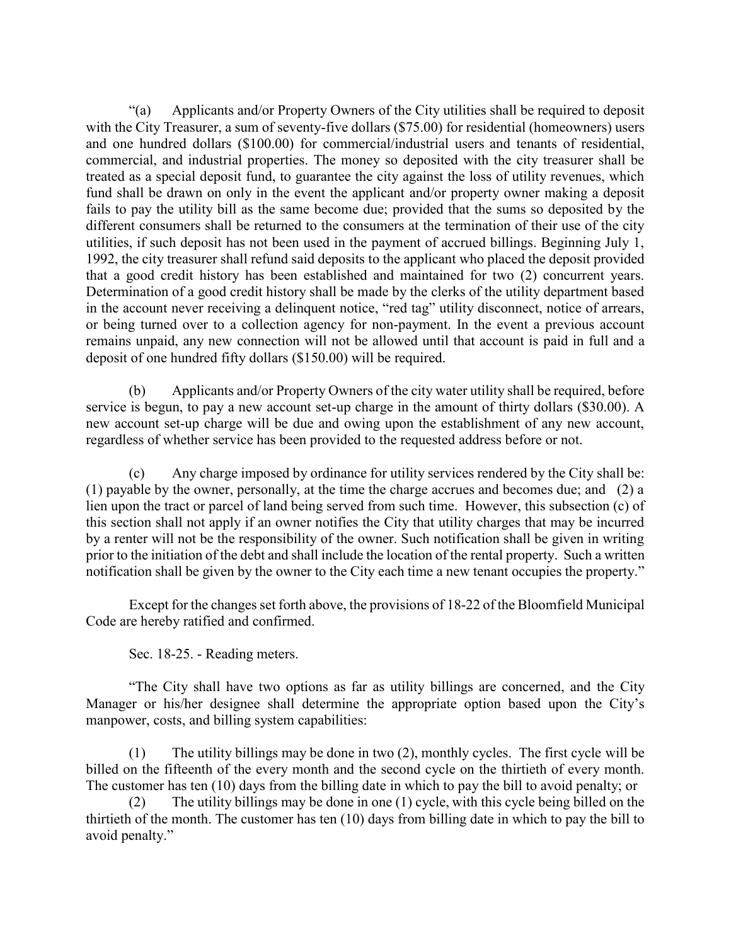"(a) Applicants and/or Property Owners of the City utilities shall be required to deposit with the City Treasurer, a sum of seventy-five dollars (\$75.00) for residential (homeowners) users and one hundred dollars (\$100.00) for commercial/industrial users and tenants of residential, commercial, and industrial properties. The money so deposited with the city treasurer shall be treated as a special deposit fund, to guarantee the city against the loss of utility revenues, which fund shall be drawn on only in the event the applicant and/or property owner making a deposit fails to pay the utility bill as the same become due; provided that the sums so deposited by the different consumers shall be returned to the consumers at the termination of their use of the city utilities, if such deposit has not been used in the payment of accrued billings. Beginning July 1, 1992, the city treasurer shall refund said deposits to the applicant who placed the deposit provided that a good credit history has been established and maintained for two (2) concurrent years. Determination of a good credit history shall be made by the clerks of the utility department based in the account never receiving a delinquent notice, "red tag" utility disconnect, notice of arrears, or being turned over to a collection agency for non-payment. In the event a previous account remains unpaid, any new connection will not be allowed until that account is paid in full and a deposit of one hundred fifty dollars (\$150.00) will be required.

(b) Applicants and/or Property Owners of the city water utility shall be required, before service is begun, to pay a new account set-up charge in the amount of thirty dollars (\$30.00). A new account set-up charge will be due and owing upon the establishment of any new account, regardless of whether service has been provided to the requested address before or not.

(c) Any charge imposed by ordinance for utility services rendered by the City shall be: (1) payable by the owner, personally, at the time the charge accrues and becomes due; and (2) a lien upon the tract or parcel of land being served from such time. However, this subsection (c) of this section shall not apply if an owner notifies the City that utility charges that may be incurred by a renter will not be the responsibility of the owner. Such notification shall be given in writing prior to the initiation of the debt and shall include the location of the rental property. Such a written notification shall be given by the owner to the City each time a new tenant occupies the property."

Except for the changes set forth above, the provisions of 18-22 of the Bloomfield Municipal Code are hereby ratified and confirmed.

Sec. 18-25. - Reading meters.

"The City shall have two options as far as utility billings are concerned, and the City Manager or his/her designee shall determine the appropriate option based upon the City's manpower, costs, and billing system capabilities:

(1) The utility billings may be done in two (2), monthly cycles. The first cycle will be billed on the fifteenth of the every month and the second cycle on the thirtieth of every month. The customer has ten (10) days from the billing date in which to pay the bill to avoid penalty; or

(2) The utility billings may be done in one (1) cycle, with this cycle being billed on the thirtieth of the month. The customer has ten (10) days from billing date in which to pay the bill to avoid penalty."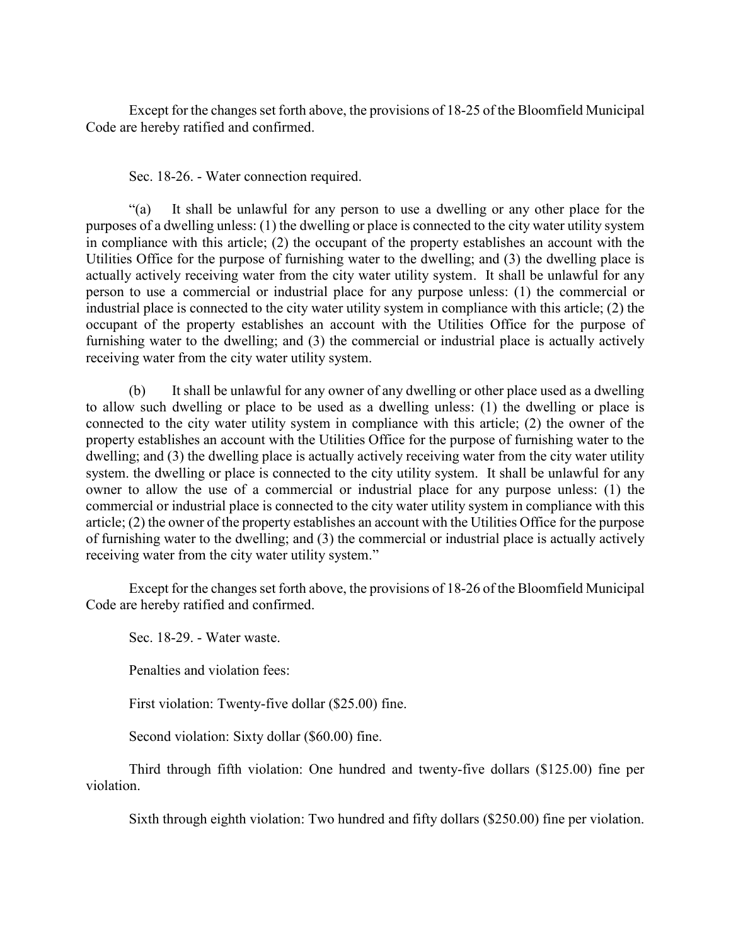Except for the changes set forth above, the provisions of 18-25 of the Bloomfield Municipal Code are hereby ratified and confirmed.

Sec. 18-26. - Water connection required.

"(a) It shall be unlawful for any person to use a dwelling or any other place for the purposes of a dwelling unless: (1) the dwelling or place is connected to the city water utility system in compliance with this article; (2) the occupant of the property establishes an account with the Utilities Office for the purpose of furnishing water to the dwelling; and (3) the dwelling place is actually actively receiving water from the city water utility system. It shall be unlawful for any person to use a commercial or industrial place for any purpose unless: (1) the commercial or industrial place is connected to the city water utility system in compliance with this article; (2) the occupant of the property establishes an account with the Utilities Office for the purpose of furnishing water to the dwelling; and (3) the commercial or industrial place is actually actively receiving water from the city water utility system.

(b) It shall be unlawful for any owner of any dwelling or other place used as a dwelling to allow such dwelling or place to be used as a dwelling unless: (1) the dwelling or place is connected to the city water utility system in compliance with this article; (2) the owner of the property establishes an account with the Utilities Office for the purpose of furnishing water to the dwelling; and (3) the dwelling place is actually actively receiving water from the city water utility system. the dwelling or place is connected to the city utility system. It shall be unlawful for any owner to allow the use of a commercial or industrial place for any purpose unless: (1) the commercial or industrial place is connected to the city water utility system in compliance with this article; (2) the owner of the property establishes an account with the Utilities Office for the purpose of furnishing water to the dwelling; and (3) the commercial or industrial place is actually actively receiving water from the city water utility system."

Except for the changes set forth above, the provisions of 18-26 of the Bloomfield Municipal Code are hereby ratified and confirmed.

Sec. 18-29. - Water waste.

Penalties and violation fees:

First violation: Twenty-five dollar (\$25.00) fine.

Second violation: Sixty dollar (\$60.00) fine.

Third through fifth violation: One hundred and twenty-five dollars (\$125.00) fine per violation.

Sixth through eighth violation: Two hundred and fifty dollars (\$250.00) fine per violation.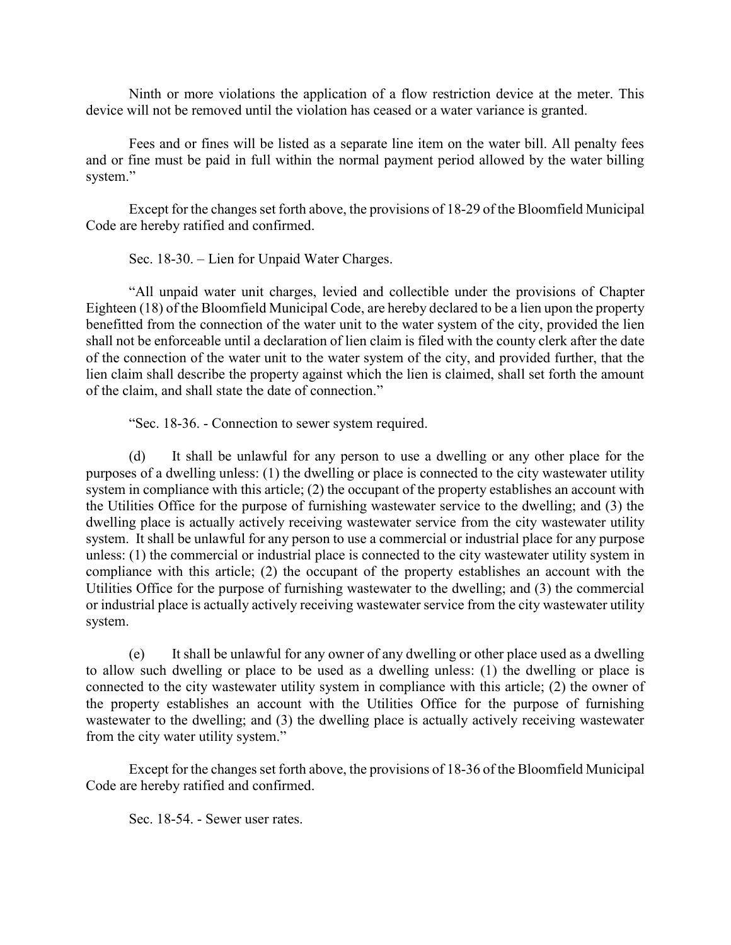Ninth or more violations the application of a flow restriction device at the meter. This device will not be removed until the violation has ceased or a water variance is granted.

Fees and or fines will be listed as a separate line item on the water bill. All penalty fees and or fine must be paid in full within the normal payment period allowed by the water billing system."

Except for the changes set forth above, the provisions of 18-29 of the Bloomfield Municipal Code are hereby ratified and confirmed.

Sec. 18-30. – Lien for Unpaid Water Charges.

"All unpaid water unit charges, levied and collectible under the provisions of Chapter Eighteen (18) of the Bloomfield Municipal Code, are hereby declared to be a lien upon the property benefitted from the connection of the water unit to the water system of the city, provided the lien shall not be enforceable until a declaration of lien claim is filed with the county clerk after the date of the connection of the water unit to the water system of the city, and provided further, that the lien claim shall describe the property against which the lien is claimed, shall set forth the amount of the claim, and shall state the date of connection."

"Sec. 18-36. - Connection to sewer system required.

(d) It shall be unlawful for any person to use a dwelling or any other place for the purposes of a dwelling unless: (1) the dwelling or place is connected to the city wastewater utility system in compliance with this article; (2) the occupant of the property establishes an account with the Utilities Office for the purpose of furnishing wastewater service to the dwelling; and (3) the dwelling place is actually actively receiving wastewater service from the city wastewater utility system. It shall be unlawful for any person to use a commercial or industrial place for any purpose unless: (1) the commercial or industrial place is connected to the city wastewater utility system in compliance with this article; (2) the occupant of the property establishes an account with the Utilities Office for the purpose of furnishing wastewater to the dwelling; and (3) the commercial or industrial place is actually actively receiving wastewater service from the city wastewater utility system.

(e) It shall be unlawful for any owner of any dwelling or other place used as a dwelling to allow such dwelling or place to be used as a dwelling unless: (1) the dwelling or place is connected to the city wastewater utility system in compliance with this article; (2) the owner of the property establishes an account with the Utilities Office for the purpose of furnishing wastewater to the dwelling; and (3) the dwelling place is actually actively receiving wastewater from the city water utility system."

Except for the changes set forth above, the provisions of 18-36 of the Bloomfield Municipal Code are hereby ratified and confirmed.

Sec. 18-54. - Sewer user rates.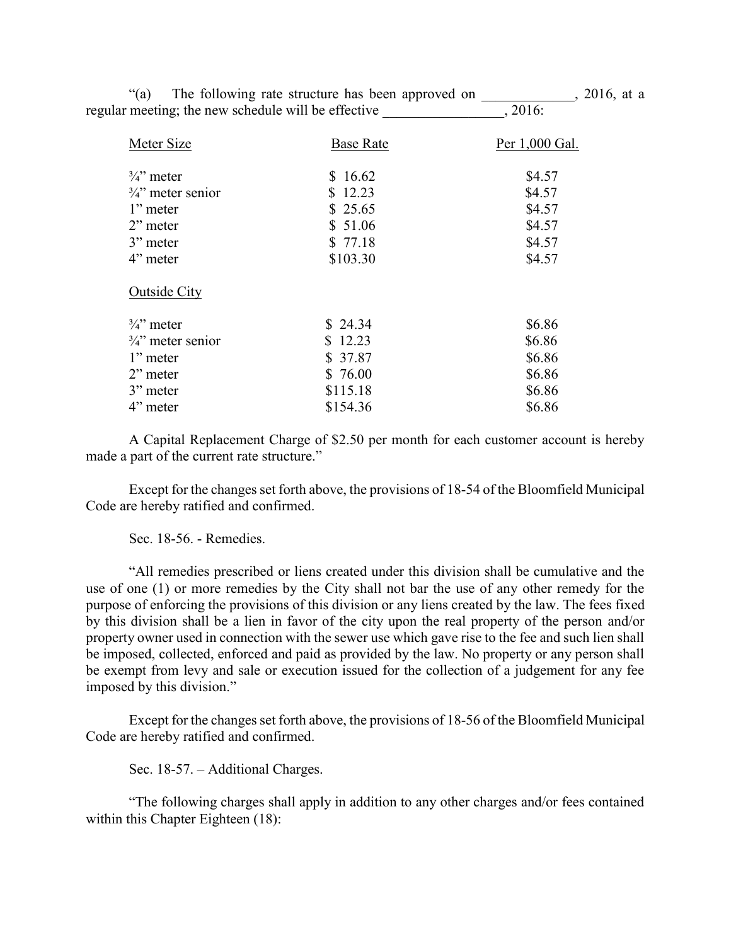| "(a)                                                | The following rate structure has been approved on |                |
|-----------------------------------------------------|---------------------------------------------------|----------------|
| regular meeting; the new schedule will be effective |                                                   | .2016:         |
| Meter Size                                          | <b>Base Rate</b>                                  | Per 1,000 Gal. |
| $\frac{3}{4}$ " meter                               | \$16.62                                           | \$4.57         |
| $\frac{3}{4}$ " meter senior                        | \$12.23                                           | \$4.57         |
| 1" meter                                            | \$25.65                                           | \$4.57         |
| $2$ " meter                                         | \$51.06                                           | \$4.57         |
| 3" meter                                            | \$77.18                                           | \$4.57         |
| 4" meter                                            | \$103.30                                          | \$4.57         |
| <b>Outside City</b>                                 |                                                   |                |
| $\frac{3}{4}$ meter                                 | \$24.34                                           | \$6.86         |
| $\frac{3}{4}$ " meter senior                        | \$12.23                                           | \$6.86         |
| 1" meter                                            | \$37.87                                           | \$6.86         |
| 2" meter                                            | \$76.00                                           | \$6.86         |
| 3" meter                                            | \$115.18                                          | \$6.86         |
| 4" meter                                            | \$154.36                                          | \$6.86         |
|                                                     |                                                   |                |

A Capital Replacement Charge of \$2.50 per month for each customer account is hereby made a part of the current rate structure."

Except for the changes set forth above, the provisions of 18-54 of the Bloomfield Municipal Code are hereby ratified and confirmed.

## Sec. 18-56. - Remedies.

"All remedies prescribed or liens created under this division shall be cumulative and the use of one (1) or more remedies by the City shall not bar the use of any other remedy for the purpose of enforcing the provisions of this division or any liens created by the law. The fees fixed by this division shall be a lien in favor of the city upon the real property of the person and/or property owner used in connection with the sewer use which gave rise to the fee and such lien shall be imposed, collected, enforced and paid as provided by the law. No property or any person shall be exempt from levy and sale or execution issued for the collection of a judgement for any fee imposed by this division."

Except for the changes set forth above, the provisions of 18-56 of the Bloomfield Municipal Code are hereby ratified and confirmed.

Sec. 18-57. – Additional Charges.

"The following charges shall apply in addition to any other charges and/or fees contained within this Chapter Eighteen (18):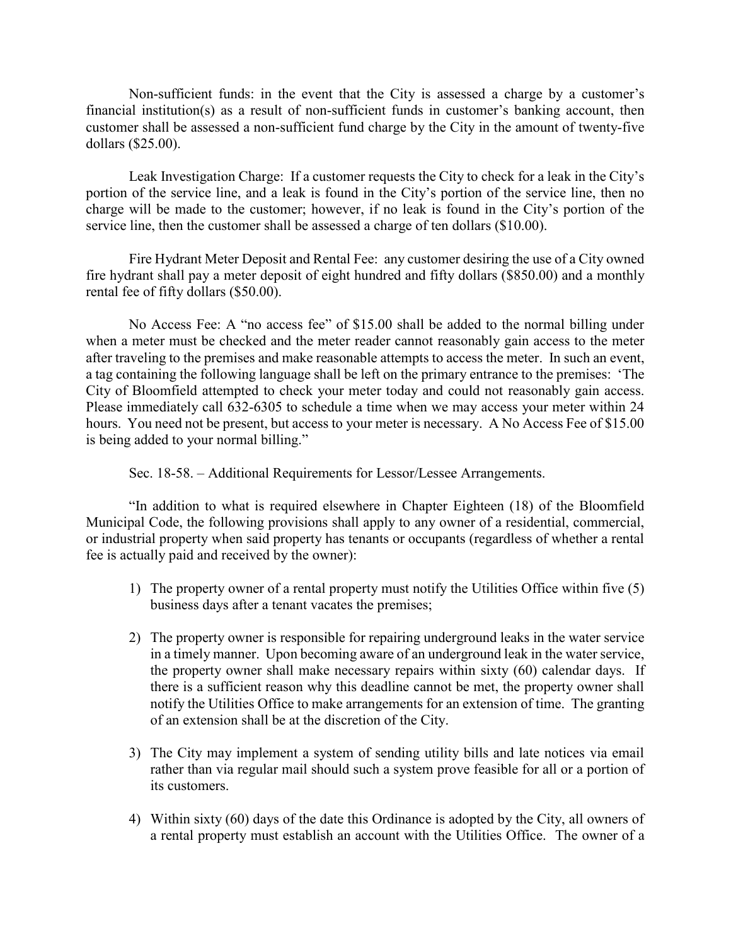Non-sufficient funds: in the event that the City is assessed a charge by a customer's financial institution(s) as a result of non-sufficient funds in customer's banking account, then customer shall be assessed a non-sufficient fund charge by the City in the amount of twenty-five dollars (\$25.00).

Leak Investigation Charge: If a customer requests the City to check for a leak in the City's portion of the service line, and a leak is found in the City's portion of the service line, then no charge will be made to the customer; however, if no leak is found in the City's portion of the service line, then the customer shall be assessed a charge of ten dollars (\$10.00).

Fire Hydrant Meter Deposit and Rental Fee: any customer desiring the use of a City owned fire hydrant shall pay a meter deposit of eight hundred and fifty dollars (\$850.00) and a monthly rental fee of fifty dollars (\$50.00).

No Access Fee: A "no access fee" of \$15.00 shall be added to the normal billing under when a meter must be checked and the meter reader cannot reasonably gain access to the meter after traveling to the premises and make reasonable attempts to access the meter. In such an event, a tag containing the following language shall be left on the primary entrance to the premises: 'The City of Bloomfield attempted to check your meter today and could not reasonably gain access. Please immediately call 632-6305 to schedule a time when we may access your meter within 24 hours. You need not be present, but access to your meter is necessary. A No Access Fee of \$15.00 is being added to your normal billing."

Sec. 18-58. – Additional Requirements for Lessor/Lessee Arrangements.

"In addition to what is required elsewhere in Chapter Eighteen (18) of the Bloomfield Municipal Code, the following provisions shall apply to any owner of a residential, commercial, or industrial property when said property has tenants or occupants (regardless of whether a rental fee is actually paid and received by the owner):

- 1) The property owner of a rental property must notify the Utilities Office within five (5) business days after a tenant vacates the premises;
- 2) The property owner is responsible for repairing underground leaks in the water service in a timely manner. Upon becoming aware of an underground leak in the water service, the property owner shall make necessary repairs within sixty (60) calendar days. If there is a sufficient reason why this deadline cannot be met, the property owner shall notify the Utilities Office to make arrangements for an extension of time. The granting of an extension shall be at the discretion of the City.
- 3) The City may implement a system of sending utility bills and late notices via email rather than via regular mail should such a system prove feasible for all or a portion of its customers.
- 4) Within sixty (60) days of the date this Ordinance is adopted by the City, all owners of a rental property must establish an account with the Utilities Office. The owner of a